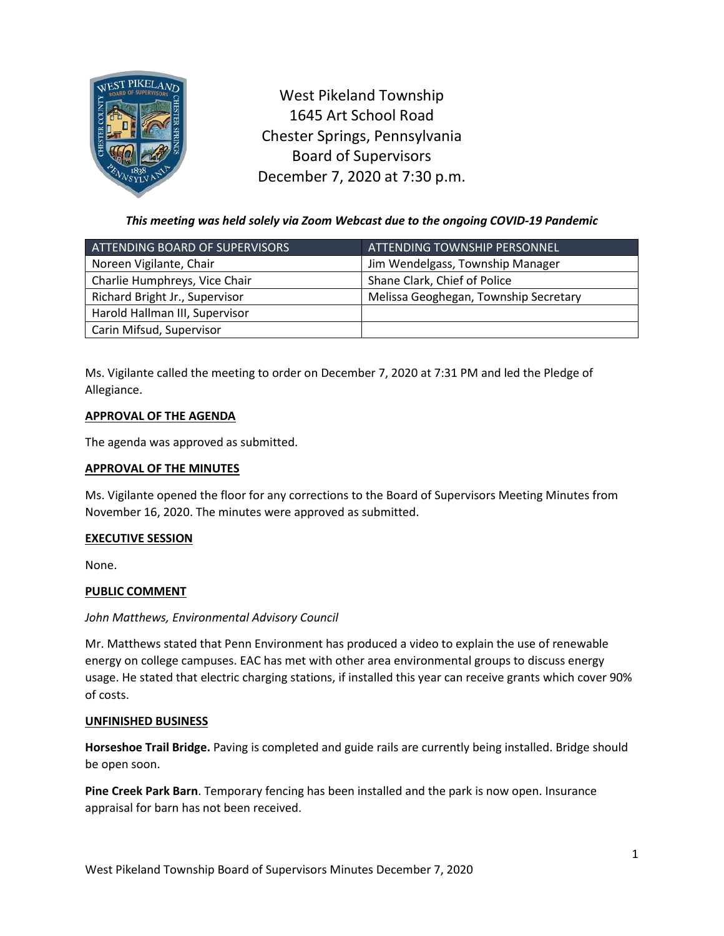

West Pikeland Township 1645 Art School Road Chester Springs, Pennsylvania Board of Supervisors December 7, 2020 at 7:30 p.m.

*This meeting was held solely via Zoom Webcast due to the ongoing COVID-19 Pandemic*

| ATTENDING BOARD OF SUPERVISORS | <u>ATTENDI</u> NG TOWNSHIP PERSONNEL, |
|--------------------------------|---------------------------------------|
| Noreen Vigilante, Chair        | Jim Wendelgass, Township Manager      |
| Charlie Humphreys, Vice Chair  | Shane Clark, Chief of Police          |
| Richard Bright Jr., Supervisor | Melissa Geoghegan, Township Secretary |
| Harold Hallman III, Supervisor |                                       |
| Carin Mifsud, Supervisor       |                                       |

Ms. Vigilante called the meeting to order on December 7, 2020 at 7:31 PM and led the Pledge of Allegiance.

## **APPROVAL OF THE AGENDA**

The agenda was approved as submitted.

## **APPROVAL OF THE MINUTES**

Ms. Vigilante opened the floor for any corrections to the Board of Supervisors Meeting Minutes from November 16, 2020. The minutes were approved as submitted.

## **EXECUTIVE SESSION**

None.

# **PUBLIC COMMENT**

## *John Matthews, Environmental Advisory Council*

Mr. Matthews stated that Penn Environment has produced a video to explain the use of renewable energy on college campuses. EAC has met with other area environmental groups to discuss energy usage. He stated that electric charging stations, if installed this year can receive grants which cover 90% of costs.

## **UNFINISHED BUSINESS**

**Horseshoe Trail Bridge.** Paving is completed and guide rails are currently being installed. Bridge should be open soon.

**Pine Creek Park Barn**. Temporary fencing has been installed and the park is now open. Insurance appraisal for barn has not been received.